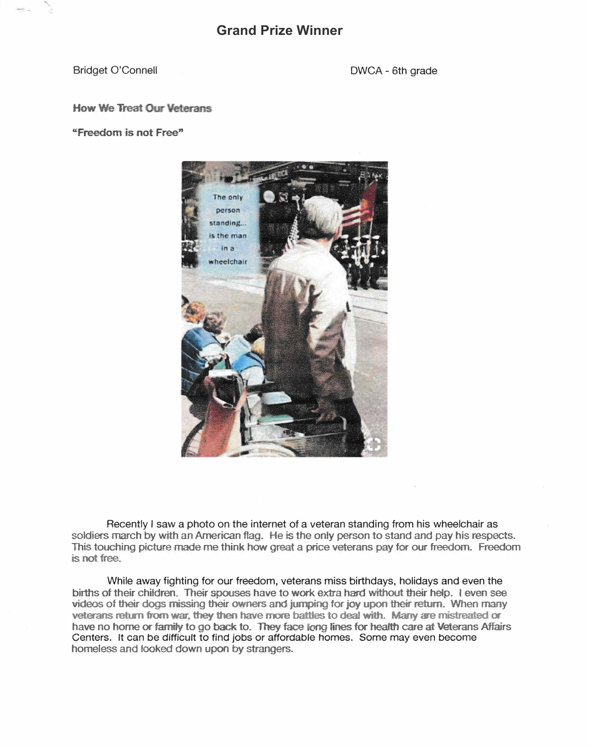Bridget O'Connell **DWCA** - 6th grade

## **How We Treat Our Veterans**

"Freedom is not Free"



Recently I saw a photo on the internet of a veteran standing from his wheelchair as soldiers march by with an American flag. He is the only person to stand and pay his respects. This touching picture made me think how great a price veterans pay for our freedom. Freedom is not free.

While away fighting for our freedom, veterans miss birthdays, holidays and even the births of their children. Their spouses have to work extra hard without their help. I even see videos of their dogs missing their owners and jumping for joy upon their return. When many veterans return from war, they then have more battles to deal with. Many are mistreated or have no home or family to go back to. They face long lines for health care at Veterans Affairs Centers. It can be difficult to find jobs or affordable homes. Some may even become homeless and fooked down upon by strangers.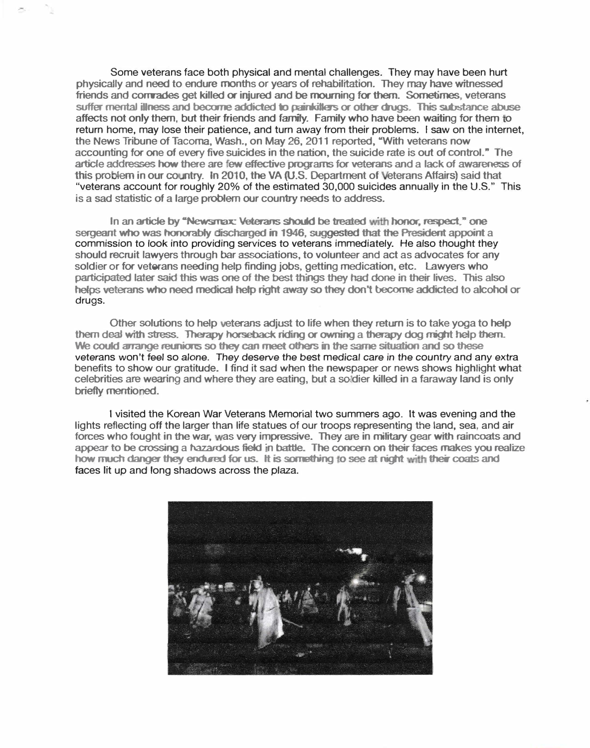Some veterans face both physical and mental challenges. They may have been hurt physicaJly and need to endure months or years of rehabilitation. They **may** have witnessed friends and correades get killed or injured and be mourning for them. Sometimes, veterans suffer mental illness and become addicted to painkillers or other drugs. This substance abuse affects not only them, but their friends and family. Family who have been waiting for them to return home, may lose their patience, and turn away from their problems. I saw on the internet, the News Tribune of Tacoma, Wash., on May 26, 2011 reported, "With veterans now article addresses how there are few effective programs for veterans and a lack of awareness of accounting for one of every five suicides in the nation, the suicide rate is out of control." The this problem in our country. In 2010, the VA (U.S. Department of Veterans Affairs) said that "veterans account for roughly 20% of the estimated 30,000 suicides annually in the U.S." This is a sad statistic of a large problem our country needs to address.

In an article by "Newsmax: Veterans should be treated with honor, respect." one sergeant who was honorably discharged in 1946, suggested that the President appoint a commission to look into providing services to veterans immediately. He also thought they should recruit lawyers through bar associations, to volunteer and act as advocates for any soldier or for veterans needing help finding jobs, getting medication, etc. Lawyers who participated later said this was one of the best things they had done in their lives. This also helps veterans who need **medical** hefp right away so they don't become addicted to alcohol or drugs.

Other solutions to help eterans adjust to life when they return **is** to take yoga to help them deal with stress. Therapy horseback riding or owning a therapy dog might help ihem. We could **arrange reunions** so they can meet others in the same situation and so 1hese veterans won't *feel* so *alone.* They deserve the best medical care *in* the country and any extra benefits to show our gratitude. l find it sad when the newspaper or news shows highlight what celebrities are wearing and where they are eating, but a soldier killed in a faraway land is only **briefly mentioned.** 

I visited the Korean War Veterans Memorial two summers ago. It was evening and the lights reflecting off the larger than life statues of our troops representing the land, sea. and air appear to be crossing a hazardous field in battle. The concern on their faces makes you realize forces who fought in the war, was very impressive. They are in military gear with raincoats and how much danger they endured for us. It is something to see at night with their coats and faces lit up and long shadows across the plaza.